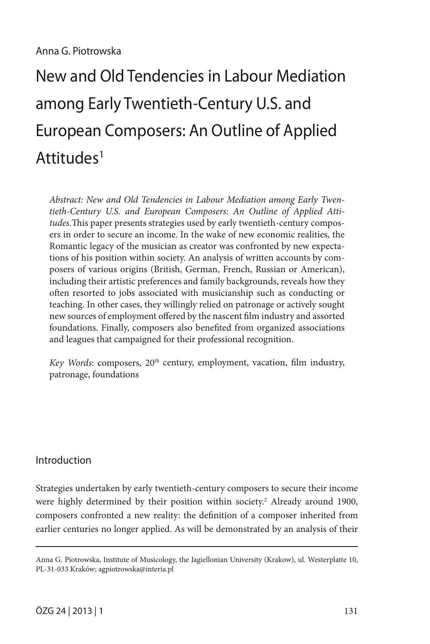# New and Old Tendencies in Labour Mediation among Early Twentieth-Century U.S. and European Composers: An Outline of Applied Attitudes<sup>1</sup>

*Abstract: New and Old Tendencies in Labour Mediation among Early Twentieth-Century U.S. and European Composers: An Outline of Applied Attitudes.*This paper presents strategies used by early twentieth-century composers in order to secure an income. In the wake of new economic realities, the Romantic legacy of the musician as creator was confronted by new expectations of his position within society. An analysis of written accounts by composers of various origins (British, German, French, Russian or American), including their artistic preferences and family backgrounds, reveals how they often resorted to jobs associated with musicianship such as conducting or teaching. In other cases, they willingly relied on patronage or actively sought new sources of employment offered by the nascent film industry and assorted foundations. Finally, composers also benefited from organized associations and leagues that campaigned for their professional recognition.

*Key Words*: composers, 20<sup>th</sup> century, employment, vacation, film industry, patronage, foundations

# Introduction

Strategies undertaken by early twentieth-century composers to secure their income were highly determined by their position within society.<sup>2</sup> Already around 1900, composers confronted a new reality: the definition of a composer inherited from earlier centuries no longer applied. As will be demonstrated by an analysis of their

Anna G. Piotrowska, Institute of Musicology, the Jagiellonian University (Krakow), ul. Westerplatte 10, PL-31-033 Kraków; agpiotrowska@interia.pl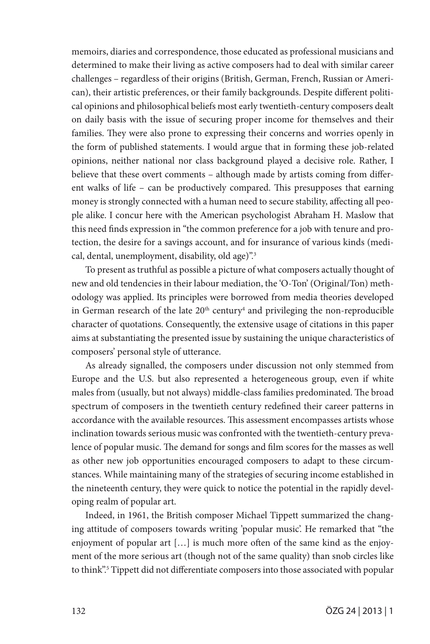memoirs, diaries and correspondence, those educated as professional musicians and determined to make their living as active composers had to deal with similar career challenges – regardless of their origins (British, German, French, Russian or American), their artistic preferences, or their family backgrounds. Despite different political opinions and philosophical beliefs most early twentieth-century composers dealt on daily basis with the issue of securing proper income for themselves and their families. They were also prone to expressing their concerns and worries openly in the form of published statements. I would argue that in forming these job-related opinions, neither national nor class background played a decisive role. Rather, I believe that these overt comments – although made by artists coming from different walks of life – can be productively compared. This presupposes that earning money is strongly connected with a human need to secure stability, affecting all people alike. I concur here with the American psychologist Abraham H. Maslow that this need finds expression in "the common preference for a job with tenure and protection, the desire for a savings account, and for insurance of various kinds (medical, dental, unemployment, disability, old age)".<sup>3</sup>

To present as truthful as possible a picture of what composers actually thought of new and old tendencies in their labour mediation, the 'O-Ton' (Original/Ton) methodology was applied. Its principles were borrowed from media theories developed in German research of the late 20<sup>th</sup> century<sup>4</sup> and privileging the non-reproducible character of quotations. Consequently, the extensive usage of citations in this paper aims at substantiating the presented issue by sustaining the unique characteristics of composers' personal style of utterance.

As already signalled, the composers under discussion not only stemmed from Europe and the U.S. but also represented a heterogeneous group, even if white males from (usually, but not always) middle-class families predominated. The broad spectrum of composers in the twentieth century redefined their career patterns in accordance with the available resources. This assessment encompasses artists whose inclination towards serious music was confronted with the twentieth-century prevalence of popular music. The demand for songs and film scores for the masses as well as other new job opportunities encouraged composers to adapt to these circumstances. While maintaining many of the strategies of securing income established in the nineteenth century, they were quick to notice the potential in the rapidly developing realm of popular art.

Indeed, in 1961, the British composer Michael Tippett summarized the changing attitude of composers towards writing 'popular music'. He remarked that "the enjoyment of popular art […] is much more often of the same kind as the enjoyment of the more serious art (though not of the same quality) than snob circles like to think".<sup>5</sup> Tippett did not differentiate composers into those associated with popular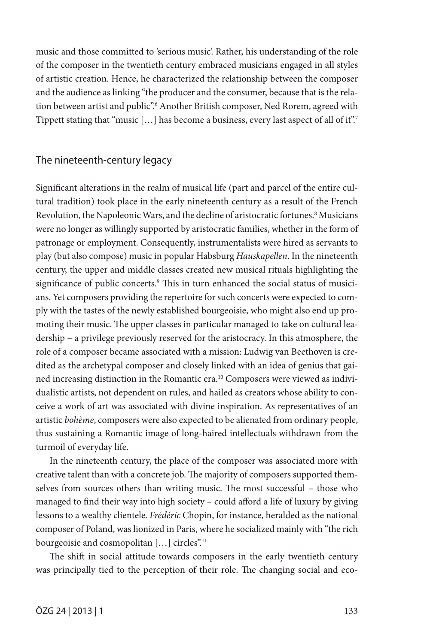music and those committed to 'serious music'. Rather, his understanding of the role of the composer in the twentieth century embraced musicians engaged in all styles of artistic creation. Hence, he characterized the relationship between the composer and the audience as linking "the producer and the consumer, because that is the relation between artist and public".6 Another British composer, Ned Rorem, agreed with Tippett stating that "music [...] has become a business, every last aspect of all of it".<sup>7</sup>

## The nineteenth-century legacy

Significant alterations in the realm of musical life (part and parcel of the entire cultural tradition) took place in the early nineteenth century as a result of the French Revolution, the Napoleonic Wars, and the decline of aristocratic fortunes.<sup>8</sup> Musicians were no longer as willingly supported by aristocratic families, whether in the form of patronage or employment. Consequently, instrumentalists were hired as servants to play (but also compose) music in popular Habsburg *Hauskapellen*. In the nineteenth century, the upper and middle classes created new musical rituals highlighting the significance of public concerts.9 This in turn enhanced the social status of musicians. Yet composers providing the repertoire for such concerts were expected to comply with the tastes of the newly established bourgeoisie, who might also end up promoting their music. The upper classes in particular managed to take on cultural leadership – a privilege previously reserved for the aristocracy. In this atmosphere, the role of a composer became associated with a mission: Ludwig van Beethoven is credited as the archetypal composer and closely linked with an idea of genius that gained increasing distinction in the Romantic era.<sup>10</sup> Composers were viewed as individualistic artists, not dependent on rules, and hailed as creators whose ability to conceive a work of art was associated with divine inspiration. As representatives of an artistic *bohème*, composers were also expected to be alienated from ordinary people, thus sustaining a Romantic image of long-haired intellectuals withdrawn from the turmoil of everyday life.

In the nineteenth century, the place of the composer was associated more with creative talent than with a concrete job. The majority of composers supported themselves from sources others than writing music. The most successful - those who managed to find their way into high society – could afford a life of luxury by giving lessons to a wealthy clientele. *Frédéric* Chopin, for instance, heralded as the national composer of Poland, was lionized in Paris, where he socialized mainly with "the rich bourgeoisie and cosmopolitan [...] circles".<sup>11</sup>

The shift in social attitude towards composers in the early twentieth century was principally tied to the perception of their role. The changing social and eco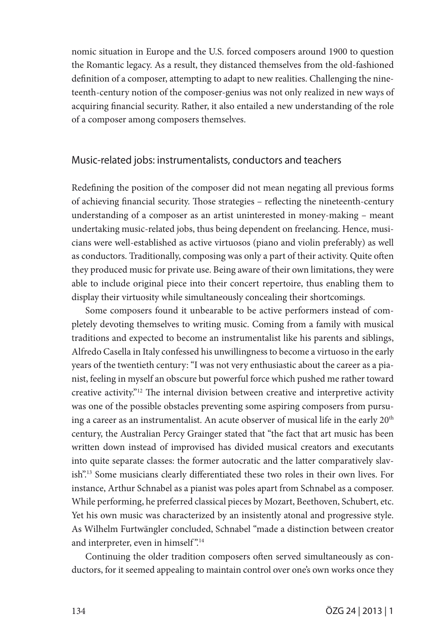nomic situation in Europe and the U.S. forced composers around 1900 to question the Romantic legacy. As a result, they distanced themselves from the old-fashioned definition of a composer, attempting to adapt to new realities. Challenging the nineteenth-century notion of the composer-genius was not only realized in new ways of acquiring financial security. Rather, it also entailed a new understanding of the role of a composer among composers themselves.

# Music-related jobs: instrumentalists, conductors and teachers

Redefining the position of the composer did not mean negating all previous forms of achieving financial security. Those strategies – reflecting the nineteenth-century understanding of a composer as an artist uninterested in money-making – meant undertaking music-related jobs, thus being dependent on freelancing. Hence, musicians were well-established as active virtuosos (piano and violin preferably) as well as conductors. Traditionally, composing was only a part of their activity. Quite often they produced music for private use. Being aware of their own limitations, they were able to include original piece into their concert repertoire, thus enabling them to display their virtuosity while simultaneously concealing their shortcomings.

Some composers found it unbearable to be active performers instead of completely devoting themselves to writing music. Coming from a family with musical traditions and expected to become an instrumentalist like his parents and siblings, Alfredo Casella in Italy confessed his unwillingness to become a virtuoso in the early years of the twentieth century: "I was not very enthusiastic about the career as a pianist, feeling in myself an obscure but powerful force which pushed me rather toward creative activity."12 The internal division between creative and interpretive activity was one of the possible obstacles preventing some aspiring composers from pursuing a career as an instrumentalist. An acute observer of musical life in the early 20<sup>th</sup> century, the Australian Percy Grainger stated that "the fact that art music has been written down instead of improvised has divided musical creators and executants into quite separate classes: the former autocratic and the latter comparatively slavish".13 Some musicians clearly differentiated these two roles in their own lives. For instance, Arthur Schnabel as a pianist was poles apart from Schnabel as a composer. While performing, he preferred classical pieces by Mozart, Beethoven, Schubert, etc. Yet his own music was characterized by an insistently atonal and progressive style. As Wilhelm Furtwängler concluded, Schnabel "made a distinction between creator and interpreter, even in himself".<sup>14</sup>

Continuing the older tradition composers often served simultaneously as conductors, for it seemed appealing to maintain control over one's own works once they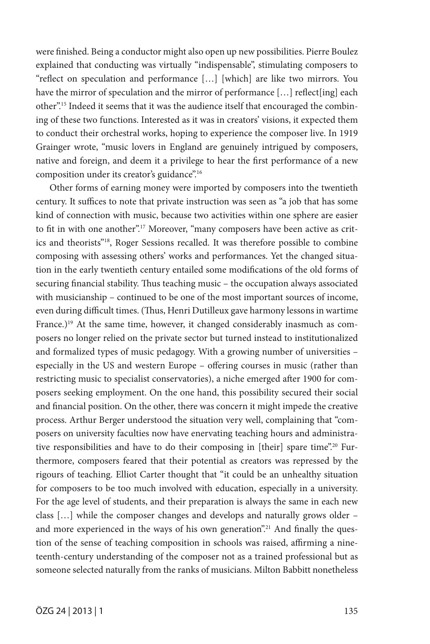were finished. Being a conductor might also open up new possibilities. Pierre Boulez explained that conducting was virtually "indispensable", stimulating composers to "reflect on speculation and performance […] [which] are like two mirrors. You have the mirror of speculation and the mirror of performance [...] reflect[ing] each other".15 Indeed it seems that it was the audience itself that encouraged the combining of these two functions. Interested as it was in creators' visions, it expected them to conduct their orchestral works, hoping to experience the composer live. In 1919 Grainger wrote, "music lovers in England are genuinely intrigued by composers, native and foreign, and deem it a privilege to hear the first performance of a new composition under its creator's guidance".<sup>16</sup>

Other forms of earning money were imported by composers into the twentieth century. It suffices to note that private instruction was seen as "a job that has some kind of connection with music, because two activities within one sphere are easier to fit in with one another".17 Moreover, "many composers have been active as critics and theorists"18, Roger Sessions recalled. It was therefore possible to combine composing with assessing others' works and performances. Yet the changed situation in the early twentieth century entailed some modifications of the old forms of securing financial stability. Thus teaching music – the occupation always associated with musicianship – continued to be one of the most important sources of income, even during difficult times. (Thus, Henri Dutilleux gave harmony lessons in wartime France.)<sup>19</sup> At the same time, however, it changed considerably inasmuch as composers no longer relied on the private sector but turned instead to institutionalized and formalized types of music pedagogy. With a growing number of universities – especially in the US and western Europe – offering courses in music (rather than restricting music to specialist conservatories), a niche emerged after 1900 for composers seeking employment. On the one hand, this possibility secured their social and financial position. On the other, there was concern it might impede the creative process. Arthur Berger understood the situation very well, complaining that "composers on university faculties now have enervating teaching hours and administrative responsibilities and have to do their composing in [their] spare time".20 Furthermore, composers feared that their potential as creators was repressed by the rigours of teaching. Elliot Carter thought that "it could be an unhealthy situation for composers to be too much involved with education, especially in a university. For the age level of students, and their preparation is always the same in each new class […] while the composer changes and develops and naturally grows older – and more experienced in the ways of his own generation".<sup>21</sup> And finally the question of the sense of teaching composition in schools was raised, affirming a nineteenth-century understanding of the composer not as a trained professional but as someone selected naturally from the ranks of musicians. Milton Babbitt nonetheless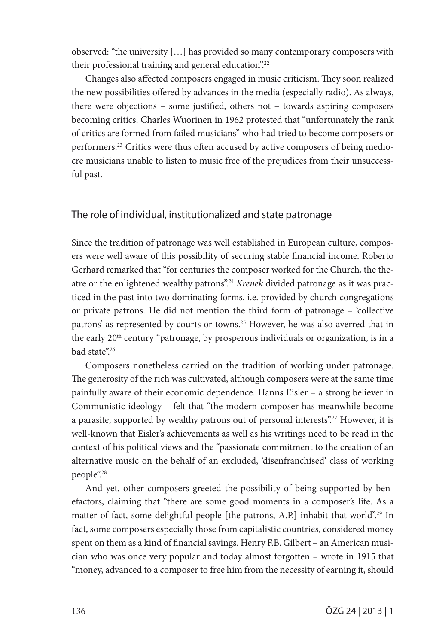observed: "the university […] has provided so many contemporary composers with their professional training and general education".22

Changes also affected composers engaged in music criticism. They soon realized the new possibilities offered by advances in the media (especially radio). As always, there were objections – some justified, others not – towards aspiring composers becoming critics. Charles Wuorinen in 1962 protested that "unfortunately the rank of critics are formed from failed musicians" who had tried to become composers or performers.23 Critics were thus often accused by active composers of being mediocre musicians unable to listen to music free of the prejudices from their unsuccessful past.

# The role of individual, institutionalized and state patronage

Since the tradition of patronage was well established in European culture, composers were well aware of this possibility of securing stable financial income. Roberto Gerhard remarked that "for centuries the composer worked for the Church, the theatre or the enlightened wealthy patrons".24 *Krenek* divided patronage as it was practiced in the past into two dominating forms, i.e. provided by church congregations or private patrons. He did not mention the third form of patronage – 'collective patrons' as represented by courts or towns.25 However, he was also averred that in the early 20<sup>th</sup> century "patronage, by prosperous individuals or organization, is in a bad state".26

Composers nonetheless carried on the tradition of working under patronage. The generosity of the rich was cultivated, although composers were at the same time painfully aware of their economic dependence. Hanns Eisler – a strong believer in Communistic ideology – felt that "the modern composer has meanwhile become a parasite, supported by wealthy patrons out of personal interests".<sup>27</sup> However, it is well-known that Eisler's achievements as well as his writings need to be read in the context of his political views and the "passionate commitment to the creation of an alternative music on the behalf of an excluded, 'disenfranchised' class of working people".28

And yet, other composers greeted the possibility of being supported by benefactors, claiming that "there are some good moments in a composer's life. As a matter of fact, some delightful people [the patrons, A.P.] inhabit that world".29 In fact, some composers especially those from capitalistic countries, considered money spent on them as a kind of financial savings. Henry F.B. Gilbert – an American musician who was once very popular and today almost forgotten – wrote in 1915 that "money, advanced to a composer to free him from the necessity of earning it, should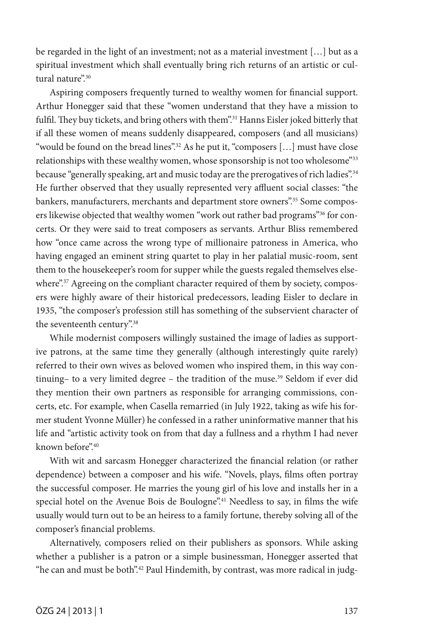be regarded in the light of an investment; not as a material investment […] but as a spiritual investment which shall eventually bring rich returns of an artistic or cultural nature".<sup>30</sup>

Aspiring composers frequently turned to wealthy women for financial support. Arthur Honegger said that these "women understand that they have a mission to fulfil. They buy tickets, and bring others with them".<sup>31</sup> Hanns Eisler joked bitterly that if all these women of means suddenly disappeared, composers (and all musicians) "would be found on the bread lines".<sup>32</sup> As he put it, "composers  $[...]$  must have close" relationships with these wealthy women, whose sponsorship is not too wholesome"33 because "generally speaking, art and music today are the prerogatives of rich ladies".<sup>34</sup> He further observed that they usually represented very affluent social classes: "the bankers, manufacturers, merchants and department store owners".<sup>35</sup> Some composers likewise objected that wealthy women "work out rather bad programs"<sup>36</sup> for concerts. Or they were said to treat composers as servants. Arthur Bliss remembered how "once came across the wrong type of millionaire patroness in America, who having engaged an eminent string quartet to play in her palatial music-room, sent them to the housekeeper's room for supper while the guests regaled themselves elsewhere".<sup>37</sup> Agreeing on the compliant character required of them by society, composers were highly aware of their historical predecessors, leading Eisler to declare in 1935, "the composer's profession still has something of the subservient character of the seventeenth century".38

While modernist composers willingly sustained the image of ladies as supportive patrons, at the same time they generally (although interestingly quite rarely) referred to their own wives as beloved women who inspired them, in this way continuing– to a very limited degree – the tradition of the muse.<sup>39</sup> Seldom if ever did they mention their own partners as responsible for arranging commissions, concerts, etc. For example, when Casella remarried (in July 1922, taking as wife his former student Yvonne Müller) he confessed in a rather uninformative manner that his life and "artistic activity took on from that day a fullness and a rhythm I had never known before".40

With wit and sarcasm Honegger characterized the financial relation (or rather dependence) between a composer and his wife. "Novels, plays, films often portray the successful composer. He marries the young girl of his love and installs her in a special hotel on the Avenue Bois de Boulogne".<sup>41</sup> Needless to say, in films the wife usually would turn out to be an heiress to a family fortune, thereby solving all of the composer's financial problems.

Alternatively, composers relied on their publishers as sponsors. While asking whether a publisher is a patron or a simple businessman, Honegger asserted that "he can and must be both".<sup>42</sup> Paul Hindemith, by contrast, was more radical in judg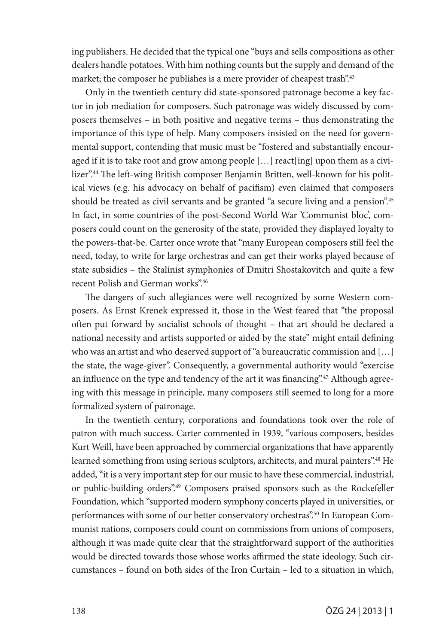ing publishers. He decided that the typical one "buys and sells compositions as other dealers handle potatoes. With him nothing counts but the supply and demand of the market; the composer he publishes is a mere provider of cheapest trash".<sup>43</sup>

Only in the twentieth century did state-sponsored patronage become a key factor in job mediation for composers. Such patronage was widely discussed by composers themselves – in both positive and negative terms – thus demonstrating the importance of this type of help. Many composers insisted on the need for governmental support, contending that music must be "fostered and substantially encouraged if it is to take root and grow among people […] react[ing] upon them as a civilizer".44 The left-wing British composer Benjamin Britten, well-known for his political views (e.g. his advocacy on behalf of pacifism) even claimed that composers should be treated as civil servants and be granted "a secure living and a pension".<sup>45</sup> In fact, in some countries of the post-Second World War 'Communist bloc', composers could count on the generosity of the state, provided they displayed loyalty to the powers-that-be. Carter once wrote that "many European composers still feel the need, today, to write for large orchestras and can get their works played because of state subsidies – the Stalinist symphonies of Dmitri Shostakovitch and quite a few recent Polish and German works".46

The dangers of such allegiances were well recognized by some Western composers. As Ernst Krenek expressed it, those in the West feared that "the proposal often put forward by socialist schools of thought – that art should be declared a national necessity and artists supported or aided by the state" might entail defining who was an artist and who deserved support of "a bureaucratic commission and […] the state, the wage-giver". Consequently, a governmental authority would "exercise an influence on the type and tendency of the art it was financing".<sup>47</sup> Although agreeing with this message in principle, many composers still seemed to long for a more formalized system of patronage.

In the twentieth century, corporations and foundations took over the role of patron with much success. Carter commented in 1939, "various composers, besides Kurt Weill, have been approached by commercial organizations that have apparently learned something from using serious sculptors, architects, and mural painters".<sup>48</sup> He added, "it is a very important step for our music to have these commercial, industrial, or public-building orders".49 Composers praised sponsors such as the Rockefeller Foundation, which "supported modern symphony concerts played in universities, or performances with some of our better conservatory orchestras".<sup>50</sup> In European Communist nations, composers could count on commissions from unions of composers, although it was made quite clear that the straightforward support of the authorities would be directed towards those whose works affirmed the state ideology. Such circumstances – found on both sides of the Iron Curtain – led to a situation in which,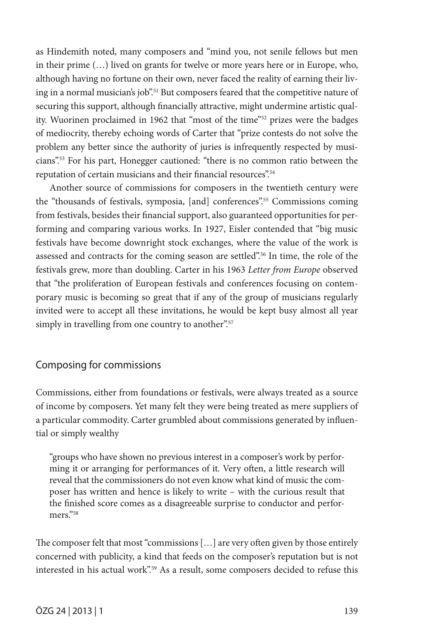as Hindemith noted, many composers and "mind you, not senile fellows but men in their prime (…) lived on grants for twelve or more years here or in Europe, who, although having no fortune on their own, never faced the reality of earning their living in a normal musician's job".<sup>51</sup> But composers feared that the competitive nature of securing this support, although financially attractive, might undermine artistic quality. Wuorinen proclaimed in 1962 that "most of the time"52 prizes were the badges of mediocrity, thereby echoing words of Carter that "prize contests do not solve the problem any better since the authority of juries is infrequently respected by musicians".53 For his part, Honegger cautioned: "there is no common ratio between the reputation of certain musicians and their financial resources".<sup>54</sup>

Another source of commissions for composers in the twentieth century were the "thousands of festivals, symposia, [and] conferences".55 Commissions coming from festivals, besides their financial support, also guaranteed opportunities for performing and comparing various works. In 1927, Eisler contended that "big music festivals have become downright stock exchanges, where the value of the work is assessed and contracts for the coming season are settled".56 In time, the role of the festivals grew, more than doubling. Carter in his 1963 *Letter from Europe* observed that "the proliferation of European festivals and conferences focusing on contemporary music is becoming so great that if any of the group of musicians regularly invited were to accept all these invitations, he would be kept busy almost all year simply in travelling from one country to another".<sup>57</sup>

## Composing for commissions

Commissions, either from foundations or festivals, were always treated as a source of income by composers. Yet many felt they were being treated as mere suppliers of a particular commodity. Carter grumbled about commissions generated by influential or simply wealthy

"groups who have shown no previous interest in a composer's work by performing it or arranging for performances of it. Very often, a little research will reveal that the commissioners do not even know what kind of music the composer has written and hence is likely to write – with the curious result that the finished score comes as a disagreeable surprise to conductor and performers."58

The composer felt that most "commissions […] are very often given by those entirely concerned with publicity, a kind that feeds on the composer's reputation but is not interested in his actual work".<sup>59</sup> As a result, some composers decided to refuse this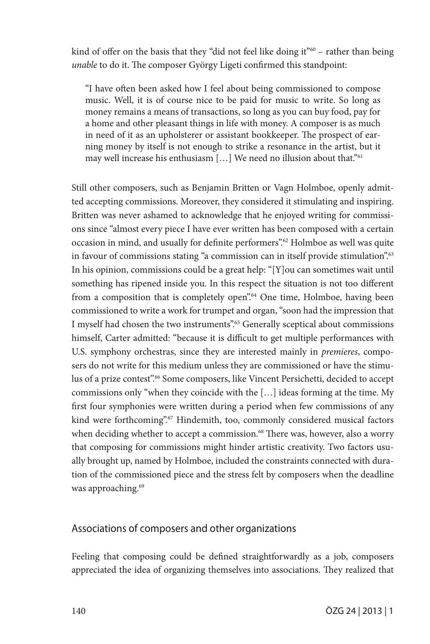kind of offer on the basis that they "did not feel like doing it" $60 -$  rather than being *unable* to do it. The composer György Ligeti confirmed this standpoint:

"I have often been asked how I feel about being commissioned to compose music. Well, it is of course nice to be paid for music to write. So long as money remains a means of transactions, so long as you can buy food, pay for a home and other pleasant things in life with money. A composer is as much in need of it as an upholsterer or assistant bookkeeper. The prospect of earning money by itself is not enough to strike a resonance in the artist, but it may well increase his enthusiasm [...] We need no illusion about that."<sup>61</sup>

Still other composers, such as Benjamin Britten or Vagn Holmboe, openly admitted accepting commissions. Moreover, they considered it stimulating and inspiring. Britten was never ashamed to acknowledge that he enjoyed writing for commissions since "almost every piece I have ever written has been composed with a certain occasion in mind, and usually for definite performers".62 Holmboe as well was quite in favour of commissions stating "a commission can in itself provide stimulation".<sup>63</sup> In his opinion, commissions could be a great help: "[Y]ou can sometimes wait until something has ripened inside you. In this respect the situation is not too different from a composition that is completely open".<sup>64</sup> One time, Holmboe, having been commissioned to write a work for trumpet and organ, "soon had the impression that I myself had chosen the two instruments".<sup>65</sup> Generally sceptical about commissions himself, Carter admitted: "because it is difficult to get multiple performances with U.S. symphony orchestras, since they are interested mainly in *premieres*, composers do not write for this medium unless they are commissioned or have the stimulus of a prize contest".<sup>66</sup> Some composers, like Vincent Persichetti, decided to accept commissions only "when they coincide with the […] ideas forming at the time. My first four symphonies were written during a period when few commissions of any kind were forthcoming".<sup>67</sup> Hindemith, too, commonly considered musical factors when deciding whether to accept a commission.<sup>68</sup> There was, however, also a worry that composing for commissions might hinder artistic creativity. Two factors usually brought up, named by Holmboe, included the constraints connected with duration of the commissioned piece and the stress felt by composers when the deadline was approaching.<sup>69</sup>

# Associations of composers and other organizations

Feeling that composing could be defined straightforwardly as a job, composers appreciated the idea of organizing themselves into associations. They realized that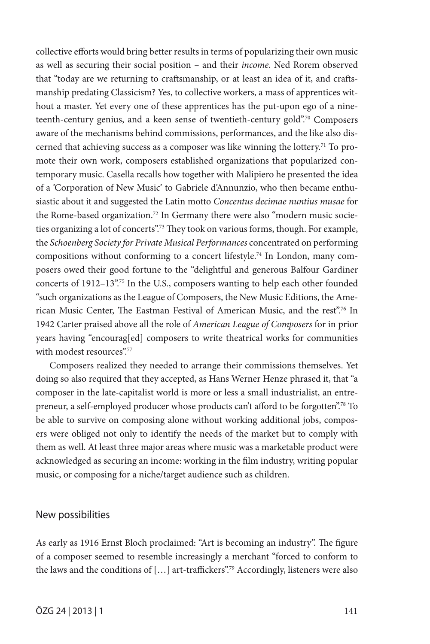collective efforts would bring better results in terms of popularizing their own music as well as securing their social position – and their *income*. Ned Rorem observed that "today are we returning to craftsmanship, or at least an idea of it, and craftsmanship predating Classicism? Yes, to collective workers, a mass of apprentices without a master. Yet every one of these apprentices has the put-upon ego of a nineteenth-century genius, and a keen sense of twentieth-century gold".70 Composers aware of the mechanisms behind commissions, performances, and the like also discerned that achieving success as a composer was like winning the lottery.<sup>71</sup> To promote their own work, composers established organizations that popularized contemporary music. Casella recalls how together with Malipiero he presented the idea of a 'Corporation of New Music' to Gabriele d'Annunzio, who then became enthusiastic about it and suggested the Latin motto *Concentus decimae nuntius musae* for the Rome-based organization.<sup>72</sup> In Germany there were also "modern music societies organizing a lot of concerts".<sup>73</sup> They took on various forms, though. For example, the *Schoenberg Society for Private Musical Performances* concentrated on performing compositions without conforming to a concert lifestyle.74 In London, many composers owed their good fortune to the "delightful and generous Balfour Gardiner concerts of 1912–13".<sup>75</sup> In the U.S., composers wanting to help each other founded "such organizations as the League of Composers, the New Music Editions, the American Music Center, The Eastman Festival of American Music, and the rest".76 In 1942 Carter praised above all the role of *American League of Composers* for in prior years having "encourag[ed] composers to write theatrical works for communities with modest resources".77

Composers realized they needed to arrange their commissions themselves. Yet doing so also required that they accepted, as Hans Werner Henze phrased it, that "a composer in the late-capitalist world is more or less a small industrialist, an entrepreneur, a self-employed producer whose products can't afford to be forgotten".78 To be able to survive on composing alone without working additional jobs, composers were obliged not only to identify the needs of the market but to comply with them as well. At least three major areas where music was a marketable product were acknowledged as securing an income: working in the film industry, writing popular music, or composing for a niche/target audience such as children.

### New possibilities

As early as 1916 Ernst Bloch proclaimed: "Art is becoming an industry". The figure of a composer seemed to resemble increasingly a merchant "forced to conform to the laws and the conditions of […] art-traffickers".79 Accordingly, listeners were also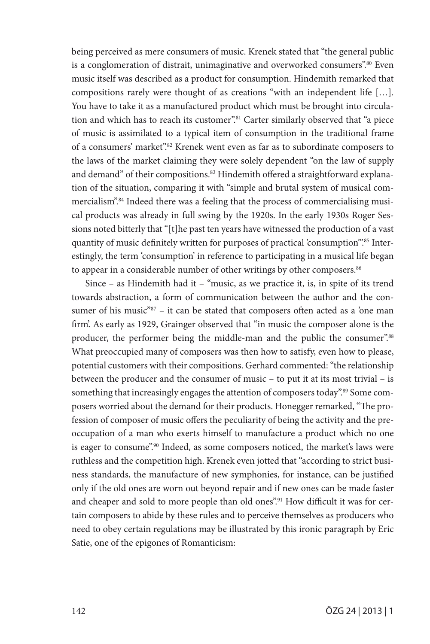being perceived as mere consumers of music. Krenek stated that "the general public is a conglomeration of distrait, unimaginative and overworked consumers".80 Even music itself was described as a product for consumption. Hindemith remarked that compositions rarely were thought of as creations "with an independent life […]. You have to take it as a manufactured product which must be brought into circulation and which has to reach its customer".<sup>81</sup> Carter similarly observed that "a piece of music is assimilated to a typical item of consumption in the traditional frame of a consumers' market".82 Krenek went even as far as to subordinate composers to the laws of the market claiming they were solely dependent "on the law of supply and demand" of their compositions.<sup>83</sup> Hindemith offered a straightforward explanation of the situation, comparing it with "simple and brutal system of musical commercialism".84 Indeed there was a feeling that the process of commercialising musical products was already in full swing by the 1920s. In the early 1930s Roger Sessions noted bitterly that "[t]he past ten years have witnessed the production of a vast quantity of music definitely written for purposes of practical 'consumption'".85 Interestingly, the term 'consumption' in reference to participating in a musical life began to appear in a considerable number of other writings by other composers.<sup>86</sup>

Since – as Hindemith had it – "music, as we practice it, is, in spite of its trend towards abstraction, a form of communication between the author and the consumer of his music<sup>"87</sup> – it can be stated that composers often acted as a 'one man firm'. As early as 1929, Grainger observed that "in music the composer alone is the producer, the performer being the middle-man and the public the consumer".<sup>88</sup> What preoccupied many of composers was then how to satisfy, even how to please, potential customers with their compositions. Gerhard commented: "the relationship between the producer and the consumer of music – to put it at its most trivial – is something that increasingly engages the attention of composers today".<sup>89</sup> Some composers worried about the demand for their products. Honegger remarked, "The profession of composer of music offers the peculiarity of being the activity and the preoccupation of a man who exerts himself to manufacture a product which no one is eager to consume".<sup>90</sup> Indeed, as some composers noticed, the market's laws were ruthless and the competition high. Krenek even jotted that "according to strict business standards, the manufacture of new symphonies, for instance, can be justified only if the old ones are worn out beyond repair and if new ones can be made faster and cheaper and sold to more people than old ones".<sup>91</sup> How difficult it was for certain composers to abide by these rules and to perceive themselves as producers who need to obey certain regulations may be illustrated by this ironic paragraph by Eric Satie, one of the epigones of Romanticism: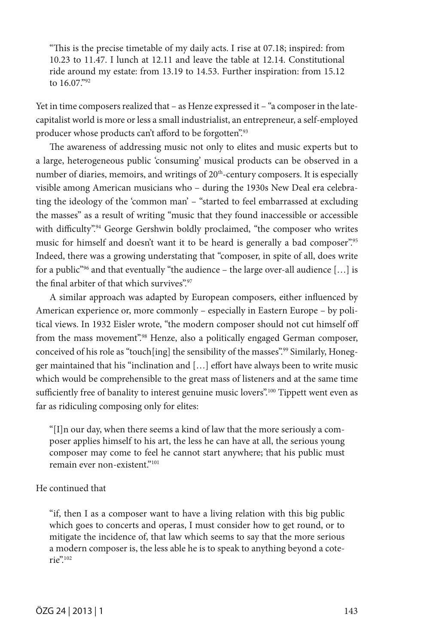"This is the precise timetable of my daily acts. I rise at 07.18; inspired: from 10.23 to 11.47. I lunch at 12.11 and leave the table at 12.14. Constitutional ride around my estate: from 13.19 to 14.53. Further inspiration: from 15.12 to 16.07."92

Yet in time composers realized that – as Henze expressed it – "a composer in the latecapitalist world is more or less a small industrialist, an entrepreneur, a self-employed producer whose products can't afford to be forgotten".93

The awareness of addressing music not only to elites and music experts but to a large, heterogeneous public 'consuming' musical products can be observed in a number of diaries, memoirs, and writings of 20<sup>th</sup>-century composers. It is especially visible among American musicians who – during the 1930s New Deal era celebrating the ideology of the 'common man' – "started to feel embarrassed at excluding the masses" as a result of writing "music that they found inaccessible or accessible with difficulty".<sup>94</sup> George Gershwin boldly proclaimed, "the composer who writes music for himself and doesn't want it to be heard is generally a bad composer".<sup>95</sup> Indeed, there was a growing understating that "composer, in spite of all, does write for a public<sup>"96</sup> and that eventually "the audience – the large over-all audience  $[\dots]$  is the final arbiter of that which survives".<sup>97</sup>

A similar approach was adapted by European composers, either influenced by American experience or, more commonly – especially in Eastern Europe – by political views. In 1932 Eisler wrote, "the modern composer should not cut himself off from the mass movement".<sup>98</sup> Henze, also a politically engaged German composer, conceived of his role as "touch[ing] the sensibility of the masses".<sup>99</sup> Similarly, Honegger maintained that his "inclination and […] effort have always been to write music which would be comprehensible to the great mass of listeners and at the same time sufficiently free of banality to interest genuine music lovers".<sup>100</sup> Tippett went even as far as ridiculing composing only for elites:

"[I]n our day, when there seems a kind of law that the more seriously a composer applies himself to his art, the less he can have at all, the serious young composer may come to feel he cannot start anywhere; that his public must remain ever non-existent."101

### He continued that

"if, then I as a composer want to have a living relation with this big public which goes to concerts and operas, I must consider how to get round, or to mitigate the incidence of, that law which seems to say that the more serious a modern composer is, the less able he is to speak to anything beyond a coterie".102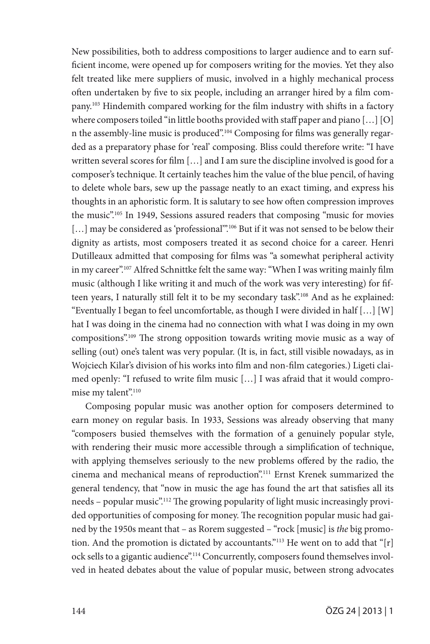New possibilities, both to address compositions to larger audience and to earn sufficient income, were opened up for composers writing for the movies. Yet they also felt treated like mere suppliers of music, involved in a highly mechanical process often undertaken by five to six people, including an arranger hired by a film company.103 Hindemith compared working for the film industry with shifts in a factory where composers toiled "in little booths provided with staff paper and piano […] [O] n the assembly-line music is produced".104 Composing for films was generally regarded as a preparatory phase for 'real' composing. Bliss could therefore write: "I have written several scores for film […] and I am sure the discipline involved is good for a composer's technique. It certainly teaches him the value of the blue pencil, of having to delete whole bars, sew up the passage neatly to an exact timing, and express his thoughts in an aphoristic form. It is salutary to see how often compression improves the music".105 In 1949, Sessions assured readers that composing "music for movies [...] may be considered as 'professional".<sup>106</sup> But if it was not sensed to be below their dignity as artists, most composers treated it as second choice for a career. Henri Dutilleaux admitted that composing for films was "a somewhat peripheral activity in my career".107 Alfred Schnittke felt the same way: "When I was writing mainly film music (although I like writing it and much of the work was very interesting) for fifteen years, I naturally still felt it to be my secondary task".108 And as he explained: "Eventually I began to feel uncomfortable, as though I were divided in half […] [W] hat I was doing in the cinema had no connection with what I was doing in my own compositions".109 The strong opposition towards writing movie music as a way of selling (out) one's talent was very popular. (It is, in fact, still visible nowadays, as in Wojciech Kilar's division of his works into film and non-film categories.) Ligeti claimed openly: "I refused to write film music […] I was afraid that it would compromise my talent".<sup>110</sup>

Composing popular music was another option for composers determined to earn money on regular basis. In 1933, Sessions was already observing that many "composers busied themselves with the formation of a genuinely popular style, with rendering their music more accessible through a simplification of technique, with applying themselves seriously to the new problems offered by the radio, the cinema and mechanical means of reproduction".111 Ernst Krenek summarized the general tendency, that "now in music the age has found the art that satisfies all its needs – popular music".112 The growing popularity of light music increasingly provided opportunities of composing for money. The recognition popular music had gained by the 1950s meant that – as Rorem suggested – "rock [music] is *the* big promotion. And the promotion is dictated by accountants."<sup>113</sup> He went on to add that "[r] ock sells to a gigantic audience".114 Concurrently, composers found themselves involved in heated debates about the value of popular music, between strong advocates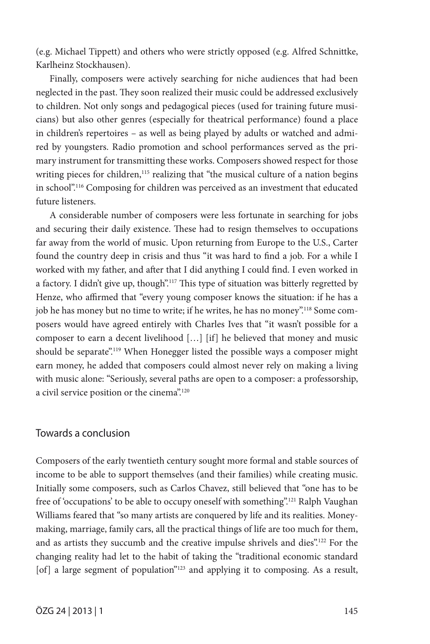(e.g. Michael Tippett) and others who were strictly opposed (e.g. Alfred Schnittke, Karlheinz Stockhausen).

Finally, composers were actively searching for niche audiences that had been neglected in the past. They soon realized their music could be addressed exclusively to children. Not only songs and pedagogical pieces (used for training future musicians) but also other genres (especially for theatrical performance) found a place in children's repertoires – as well as being played by adults or watched and admired by youngsters. Radio promotion and school performances served as the primary instrument for transmitting these works. Composers showed respect for those writing pieces for children,<sup>115</sup> realizing that "the musical culture of a nation begins in school".116 Composing for children was perceived as an investment that educated future listeners.

A considerable number of composers were less fortunate in searching for jobs and securing their daily existence. These had to resign themselves to occupations far away from the world of music. Upon returning from Europe to the U.S., Carter found the country deep in crisis and thus "it was hard to find a job. For a while I worked with my father, and after that I did anything I could find. I even worked in a factory. I didn't give up, though".<sup>117</sup> This type of situation was bitterly regretted by Henze, who affirmed that "every young composer knows the situation: if he has a job he has money but no time to write; if he writes, he has no money".<sup>118</sup> Some composers would have agreed entirely with Charles Ives that "it wasn't possible for a composer to earn a decent livelihood […] [if] he believed that money and music should be separate".<sup>119</sup> When Honegger listed the possible ways a composer might earn money, he added that composers could almost never rely on making a living with music alone: "Seriously, several paths are open to a composer: a professorship, a civil service position or the cinema".<sup>120</sup>

## Towards a conclusion

Composers of the early twentieth century sought more formal and stable sources of income to be able to support themselves (and their families) while creating music. Initially some composers, such as Carlos Chavez, still believed that "one has to be free of 'occupations' to be able to occupy oneself with something".<sup>121</sup> Ralph Vaughan Williams feared that "so many artists are conquered by life and its realities. Moneymaking, marriage, family cars, all the practical things of life are too much for them, and as artists they succumb and the creative impulse shrivels and dies".122 For the changing reality had let to the habit of taking the "traditional economic standard [of] a large segment of population"<sup>123</sup> and applying it to composing. As a result,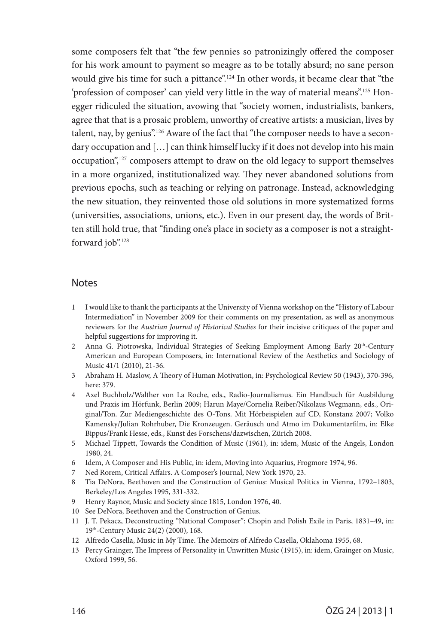some composers felt that "the few pennies so patronizingly offered the composer for his work amount to payment so meagre as to be totally absurd; no sane person would give his time for such a pittance".<sup>124</sup> In other words, it became clear that "the 'profession of composer' can yield very little in the way of material means".125 Honegger ridiculed the situation, avowing that "society women, industrialists, bankers, agree that that is a prosaic problem, unworthy of creative artists: a musician, lives by talent, nay, by genius".<sup>126</sup> Aware of the fact that "the composer needs to have a secondary occupation and […] can think himself lucky if it does not develop into his main occupation",<sup>127</sup> composers attempt to draw on the old legacy to support themselves in a more organized, institutionalized way. They never abandoned solutions from previous epochs, such as teaching or relying on patronage. Instead, acknowledging the new situation, they reinvented those old solutions in more systematized forms (universities, associations, unions, etc.). Even in our present day, the words of Britten still hold true, that "finding one's place in society as a composer is not a straightforward job".<sup>128</sup>

### Notes

- 1 I would like to thank the participants at the University of Vienna workshop on the "History of Labour Intermediation" in November 2009 for their comments on my presentation, as well as anonymous reviewers for the *Austrian Journal of Historical Studies* for their incisive critiques of the paper and helpful suggestions for improving it.
- 2 Anna G. Piotrowska, Individual Strategies of Seeking Employment Among Early 20<sup>th</sup>-Century American and European Composers, in: International Review of the Aesthetics and Sociology of Music 41/1 (2010), 21-36.
- 3 Abraham H. Maslow, A Theory of Human Motivation, in: Psychological Review 50 (1943), 370-396, here: 379.
- 4 Axel Buchholz/Walther von La Roche, eds., Radio-Journalismus. Ein Handbuch für Ausbildung und Praxis im Hörfunk, Berlin 2009; Harun Maye/Cornelia Reiber/Nikolaus Wegmann, eds., Original/Ton. Zur Mediengeschichte des O-Tons. Mit Hörbeispielen auf CD, Konstanz 2007; Volko Kamensky/Julian Rohrhuber, Die Kronzeugen. Geräusch und Atmo im Dokumentarfilm, in: Elke Bippus/Frank Hesse, eds., Kunst des Forschens/dazwischen, Zürich 2008.
- 5 Michael Tippett, Towards the Condition of Music (1961), in: idem, Music of the Angels, London 1980, 24.
- 6 Idem, A Composer and His Public, in: idem, Moving into Aquarius, Frogmore 1974, 96.
- 7 Ned Rorem, Critical Affairs. A Composer's Journal, New York 1970, 23.
- 8 Tia DeNora, Beethoven and the Construction of Genius: Musical Politics in Vienna, 1792–1803, Berkeley/Los Angeles 1995, 331-332.
- 9 Henry Raynor, Music and Society since 1815, London 1976, 40.
- 10 See DeNora, Beethoven and the Construction of Genius.
- 11 J. T. Pekacz, Deconstructing "National Composer": Chopin and Polish Exile in Paris, 1831–49, in: 19th-Century Music 24(2) (2000), 168.
- 12 Alfredo Casella, Music in My Time. The Memoirs of Alfredo Casella, Oklahoma 1955, 68.
- 13 Percy Grainger, The Impress of Personality in Unwritten Music (1915), in: idem, Grainger on Music, Oxford 1999, 56.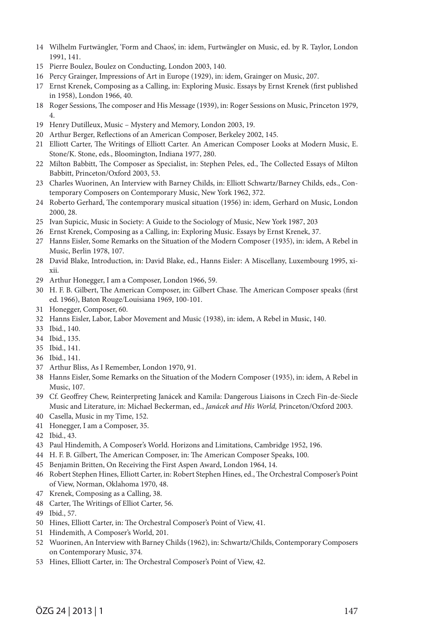- Wilhelm Furtwängler, 'Form and Chaos', in: idem, Furtwängler on Music, ed. by R. Taylor, London 1991, 141.
- Pierre Boulez, Boulez on Conducting, London 2003, 140.
- Percy Grainger, Impressions of Art in Europe (1929), in: idem, Grainger on Music, 207.
- Ernst Krenek, Composing as a Calling, in: Exploring Music. Essays by Ernst Krenek (first published in 1958), London 1966, 40.
- Roger Sessions, The composer and His Message (1939), in: Roger Sessions on Music, Princeton 1979, 4.
- Henry Dutilleux, Music Mystery and Memory, London 2003, 19.
- Arthur Berger, Reflections of an American Composer, Berkeley 2002, 145.
- Elliott Carter, The Writings of Elliott Carter. An American Composer Looks at Modern Music, E. Stone/K. Stone, eds., Bloomington, Indiana 1977, 280.
- Milton Babbitt, The Composer as Specialist, in: Stephen Peles, ed., The Collected Essays of Milton Babbitt, Princeton/Oxford 2003, 53.
- Charles Wuorinen, An Interview with Barney Childs, in: Elliott Schwartz/Barney Childs, eds., Contemporary Composers on Contemporary Music, New York 1962, 372.
- Roberto Gerhard, The contemporary musical situation (1956) in: idem, Gerhard on Music, London 2000, 28.
- Ivan Supicic, Music in Society: A Guide to the Sociology of Music, New York 1987, 203
- Ernst Krenek, Composing as a Calling, in: Exploring Music. Essays by Ernst Krenek, 37.
- Hanns Eisler, Some Remarks on the Situation of the Modern Composer (1935), in: idem, A Rebel in Music, Berlin 1978, 107.
- David Blake, Introduction, in: David Blake, ed., Hanns Eisler: A Miscellany, Luxembourg 1995, xixii.
- Arthur Honegger, I am a Composer, London 1966, 59.
- H. F. B. Gilbert, The American Composer, in: Gilbert Chase. The American Composer speaks (first ed. 1966), Baton Rouge/Louisiana 1969, 100-101.
- Honegger, Composer, 60.
- Hanns Eisler, Labor, Labor Movement and Music (1938), in: idem, A Rebel in Music, 140.
- Ibid., 140.
- Ibid., 135.
- Ibid., 141.
- Ibid., 141.
- Arthur Bliss, As I Remember, London 1970, 91.
- Hanns Eisler, Some Remarks on the Situation of the Modern Composer (1935), in: idem, A Rebel in Music, 107.
- Cf. Geoffrey Chew, Reinterpreting Janácek and Kamila: Dangerous Liaisons in Czech Fin-de-Siecle Music and Literature, in: Michael Beckerman, ed., *Janácek and His World,* Princeton/Oxford 2003.
- Casella, Music in my Time, 152.
- Honegger, I am a Composer, 35.
- Ibid., 43.
- Paul Hindemith, A Composer's World. Horizons and Limitations, Cambridge 1952, 196.
- H. F. B. Gilbert, The American Composer, in: The American Composer Speaks, 100.
- Benjamin Britten, On Receiving the First Aspen Award, London 1964, 14.
- Robert Stephen Hines, Elliott Carter, in: Robert Stephen Hines, ed., The Orchestral Composer's Point of View, Norman, Oklahoma 1970, 48.
- Krenek, Composing as a Calling, 38.
- Carter, The Writings of Elliot Carter, 56.
- Ibid., 57.
- Hines, Elliott Carter, in: The Orchestral Composer's Point of View, 41.
- Hindemith, A Composer's World, 201.
- Wuorinen, An Interview with Barney Childs (1962), in: Schwartz/Childs, Contemporary Composers on Contemporary Music, 374.
- Hines, Elliott Carter, in: The Orchestral Composer's Point of View, 42.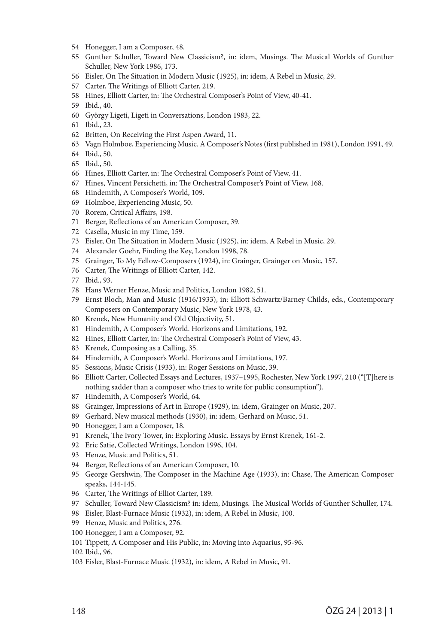- Honegger, I am a Composer, 48.
- Gunther Schuller, Toward New Classicism?, in: idem, Musings. The Musical Worlds of Gunther Schuller, New York 1986, 173.
- Eisler, On The Situation in Modern Music (1925), in: idem, A Rebel in Music, 29.
- Carter, The Writings of Elliott Carter, 219.
- Hines, Elliott Carter, in: The Orchestral Composer's Point of View, 40-41.
- Ibid., 40.
- György Ligeti, Ligeti in Conversations, London 1983, 22.
- Ibid., 23.
- Britten, On Receiving the First Aspen Award, 11.
- Vagn Holmboe, Experiencing Music. A Composer's Notes (first published in 1981), London 1991, 49.
- Ibid., 50.
- Ibid., 50.
- Hines, Elliott Carter, in: The Orchestral Composer's Point of View, 41.
- Hines, Vincent Persichetti, in: The Orchestral Composer's Point of View, 168.
- Hindemith, A Composer's World, 109.
- Holmboe, Experiencing Music, 50.
- Rorem, Critical Affairs, 198.
- Berger, Reflections of an American Composer, 39.
- Casella, Music in my Time, 159.
- Eisler, On The Situation in Modern Music (1925), in: idem, A Rebel in Music, 29.
- Alexander Goehr, Finding the Key, London 1998, 78.
- Grainger, To My Fellow-Composers (1924), in: Grainger, Grainger on Music, 157.
- Carter, The Writings of Elliott Carter, 142.
- Ibid., 93.
- Hans Werner Henze, Music and Politics, London 1982, 51.
- Ernst Bloch, Man and Music (1916/1933), in: Elliott Schwartz/Barney Childs, eds., Contemporary Composers on Contemporary Music, New York 1978, 43.
- Krenek, New Humanity and Old Objectivity, 51.
- Hindemith, A Composer's World. Horizons and Limitations, 192.
- Hines, Elliott Carter, in: The Orchestral Composer's Point of View, 43.
- Krenek, Composing as a Calling, 35.
- Hindemith, A Composer's World. Horizons and Limitations, 197.
- Sessions, Music Crisis (1933), in: Roger Sessions on Music, 39.
- Elliott Carter, Collected Essays and Lectures, 1937–1995, Rochester, New York 1997, 210 ("[T]here is nothing sadder than a composer who tries to write for public consumption").
- Hindemith, A Composer's World, 64.
- Grainger, Impressions of Art in Europe (1929), in: idem, Grainger on Music, 207.
- Gerhard, New musical methods (1930), in: idem, Gerhard on Music, 51.
- Honegger, I am a Composer, 18.
- Krenek, The Ivory Tower, in: Exploring Music. Essays by Ernst Krenek, 161-2.
- Eric Satie, Collected Writings, London 1996, 104.
- Henze, Music and Politics, 51.
- Berger, Reflections of an American Composer, 10.
- George Gershwin, The Composer in the Machine Age (1933), in: Chase, The American Composer speaks, 144-145.
- Carter, The Writings of Elliot Carter, 189.
- Schuller, Toward New Classicism? in: idem, Musings. The Musical Worlds of Gunther Schuller, 174.
- Eisler, Blast-Furnace Music (1932), in: idem, A Rebel in Music, 100.
- Henze, Music and Politics, 276.
- Honegger, I am a Composer, 92.
- Tippett, A Composer and His Public, in: Moving into Aquarius, 95-96.
- Ibid., 96.
- Eisler, Blast-Furnace Music (1932), in: idem, A Rebel in Music, 91.